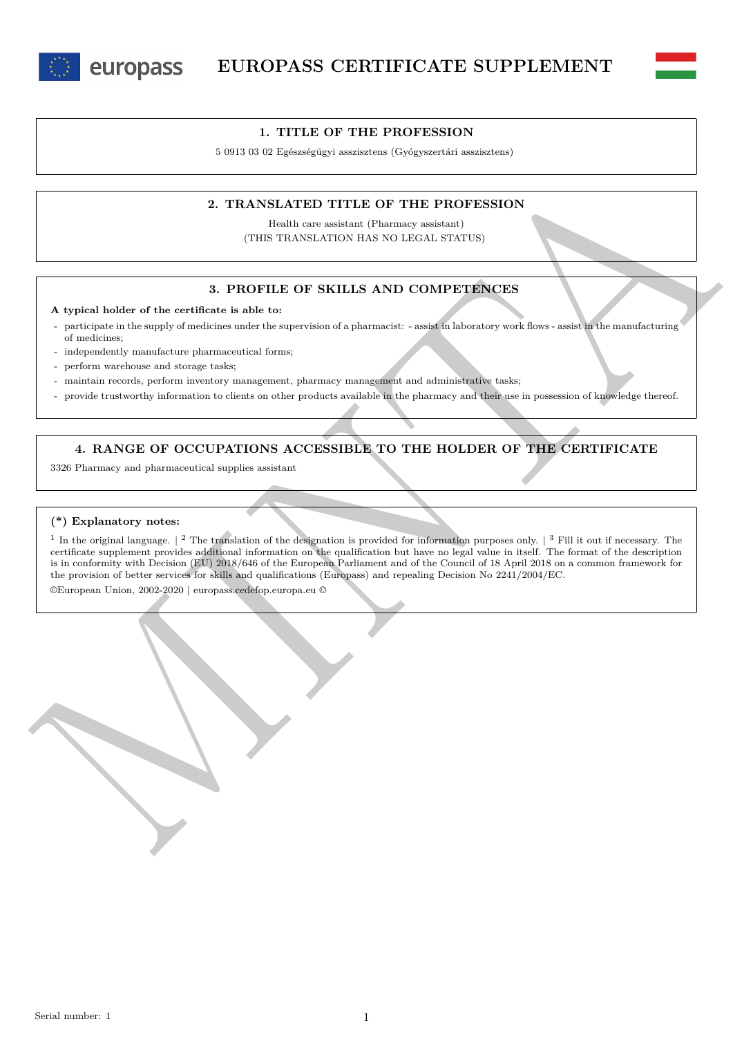



### **1. TITLE OF THE PROFESSION**

5 0913 03 02 Egészségügyi asszisztens (Gyógyszertári asszisztens)

# **2. TRANSLATED TITLE OF THE PROFESSION**

Health care assistant (Pharmacy assistant) (THIS TRANSLATION HAS NO LEGAL STATUS)

### **3. PROFILE OF SKILLS AND COMPETENCES**

**A typical holder of the certificate is able to:**

- participate in the supply of medicines under the supervision of a pharmacist: - assist in laboratory work flows - assist in the manufacturing of medicines;

independently manufacture pharmaceutical forms;

perform warehouse and storage tasks;

- maintain records, perform inventory management, pharmacy management and administrative tasks;
- provide trustworthy information to clients on other products available in the pharmacy and their use in possession of knowledge thereof.

**4. RANGE OF OCCUPATIONS ACCESSIBLE TO THE HOLDER OF THE CERTIFICATE**

3326 Pharmacy and pharmaceutical supplies assistant

#### **(\*) Explanatory notes:**

2. TRANSLATED TILE OF THE PROFESSION<br>
THIS TRANSLATED TILE OF THE PROFESSION<br>
(THIS TRANSLATED TILE OF THE PROFESSION<br>
(THIS TRANSLATED TILE OF THE PROFESSION<br>
2. PROFESSION AND COMPREENCES<br>
A typical holder of the certai <sup>1</sup> In the original language.  $\vert$  <sup>2</sup> The translation of the designation is provided for information purposes only.  $\vert$  <sup>3</sup> Fill it out if necessary. The certificate supplement provides additional information on the qualification but have no legal value in itself. The format of the description is in conformity with Decision (EU) 2018/646 of the European Parliament and of the Council of 18 April 2018 on a common framework for the provision of better services for skills and qualifications (Europass) and repealing Decision No 2241/2004/EC.

©European Union, 2002-2020 | europass.cedefop.europa.eu ©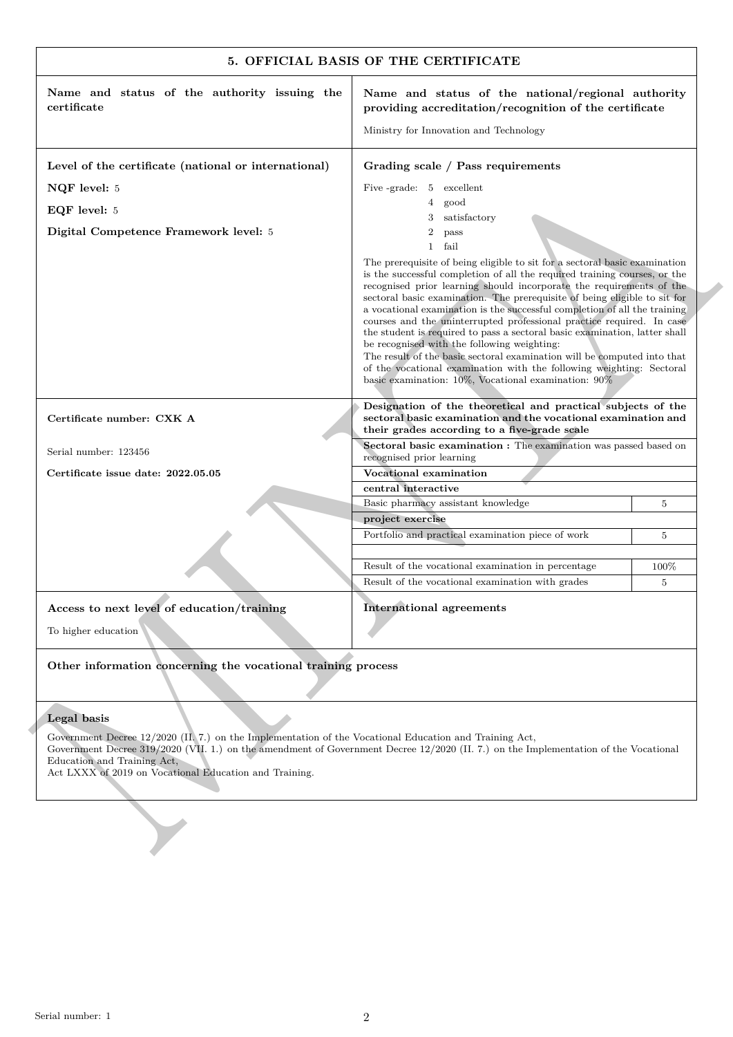| providing accreditation/recognition of the certificate<br>Ministry for Innovation and Technology<br>Grading scale / Pass requirements<br>Five -grade: 5 excellent<br>$4\overline{ }$<br>good<br>satisfactory<br>3<br>$\overline{2}$<br>pass<br>$\mathbf{1}$<br>fail<br>The prerequisite of being eligible to sit for a sectoral basic examination<br>is the successful completion of all the required training courses, or the<br>recognised prior learning should incorporate the requirements of the<br>sectoral basic examination. The prerequisite of being eligible to sit for<br>a vocational examination is the successful completion of all the training<br>courses and the uninterrupted professional practice required. In case<br>the student is required to pass a sectoral basic examination, latter shall<br>be recognised with the following weighting:<br>The result of the basic sectoral examination will be computed into that<br>of the vocational examination with the following weighting: Sectoral<br>basic examination: $10\%$ , Vocational examination: $90\%$<br>Designation of the theoretical and practical subjects of the<br>sectoral basic examination and the vocational examination and<br>their grades according to a five-grade scale<br>Sectoral basic examination : The examination was passed based on<br>recognised prior learning<br>Vocational examination<br>central interactive<br>Basic pharmacy assistant knowledge<br>project exercise | 5<br>$\overline{5}$                                                                                                                                                                                                                           |
|--------------------------------------------------------------------------------------------------------------------------------------------------------------------------------------------------------------------------------------------------------------------------------------------------------------------------------------------------------------------------------------------------------------------------------------------------------------------------------------------------------------------------------------------------------------------------------------------------------------------------------------------------------------------------------------------------------------------------------------------------------------------------------------------------------------------------------------------------------------------------------------------------------------------------------------------------------------------------------------------------------------------------------------------------------------------------------------------------------------------------------------------------------------------------------------------------------------------------------------------------------------------------------------------------------------------------------------------------------------------------------------------------------------------------------------------------------------------------------------|-----------------------------------------------------------------------------------------------------------------------------------------------------------------------------------------------------------------------------------------------|
|                                                                                                                                                                                                                                                                                                                                                                                                                                                                                                                                                                                                                                                                                                                                                                                                                                                                                                                                                                                                                                                                                                                                                                                                                                                                                                                                                                                                                                                                                      |                                                                                                                                                                                                                                               |
|                                                                                                                                                                                                                                                                                                                                                                                                                                                                                                                                                                                                                                                                                                                                                                                                                                                                                                                                                                                                                                                                                                                                                                                                                                                                                                                                                                                                                                                                                      |                                                                                                                                                                                                                                               |
|                                                                                                                                                                                                                                                                                                                                                                                                                                                                                                                                                                                                                                                                                                                                                                                                                                                                                                                                                                                                                                                                                                                                                                                                                                                                                                                                                                                                                                                                                      |                                                                                                                                                                                                                                               |
|                                                                                                                                                                                                                                                                                                                                                                                                                                                                                                                                                                                                                                                                                                                                                                                                                                                                                                                                                                                                                                                                                                                                                                                                                                                                                                                                                                                                                                                                                      |                                                                                                                                                                                                                                               |
|                                                                                                                                                                                                                                                                                                                                                                                                                                                                                                                                                                                                                                                                                                                                                                                                                                                                                                                                                                                                                                                                                                                                                                                                                                                                                                                                                                                                                                                                                      |                                                                                                                                                                                                                                               |
|                                                                                                                                                                                                                                                                                                                                                                                                                                                                                                                                                                                                                                                                                                                                                                                                                                                                                                                                                                                                                                                                                                                                                                                                                                                                                                                                                                                                                                                                                      |                                                                                                                                                                                                                                               |
|                                                                                                                                                                                                                                                                                                                                                                                                                                                                                                                                                                                                                                                                                                                                                                                                                                                                                                                                                                                                                                                                                                                                                                                                                                                                                                                                                                                                                                                                                      |                                                                                                                                                                                                                                               |
|                                                                                                                                                                                                                                                                                                                                                                                                                                                                                                                                                                                                                                                                                                                                                                                                                                                                                                                                                                                                                                                                                                                                                                                                                                                                                                                                                                                                                                                                                      |                                                                                                                                                                                                                                               |
|                                                                                                                                                                                                                                                                                                                                                                                                                                                                                                                                                                                                                                                                                                                                                                                                                                                                                                                                                                                                                                                                                                                                                                                                                                                                                                                                                                                                                                                                                      |                                                                                                                                                                                                                                               |
|                                                                                                                                                                                                                                                                                                                                                                                                                                                                                                                                                                                                                                                                                                                                                                                                                                                                                                                                                                                                                                                                                                                                                                                                                                                                                                                                                                                                                                                                                      |                                                                                                                                                                                                                                               |
|                                                                                                                                                                                                                                                                                                                                                                                                                                                                                                                                                                                                                                                                                                                                                                                                                                                                                                                                                                                                                                                                                                                                                                                                                                                                                                                                                                                                                                                                                      |                                                                                                                                                                                                                                               |
|                                                                                                                                                                                                                                                                                                                                                                                                                                                                                                                                                                                                                                                                                                                                                                                                                                                                                                                                                                                                                                                                                                                                                                                                                                                                                                                                                                                                                                                                                      |                                                                                                                                                                                                                                               |
|                                                                                                                                                                                                                                                                                                                                                                                                                                                                                                                                                                                                                                                                                                                                                                                                                                                                                                                                                                                                                                                                                                                                                                                                                                                                                                                                                                                                                                                                                      |                                                                                                                                                                                                                                               |
| Portfolio and practical examination piece of work                                                                                                                                                                                                                                                                                                                                                                                                                                                                                                                                                                                                                                                                                                                                                                                                                                                                                                                                                                                                                                                                                                                                                                                                                                                                                                                                                                                                                                    |                                                                                                                                                                                                                                               |
|                                                                                                                                                                                                                                                                                                                                                                                                                                                                                                                                                                                                                                                                                                                                                                                                                                                                                                                                                                                                                                                                                                                                                                                                                                                                                                                                                                                                                                                                                      |                                                                                                                                                                                                                                               |
| Result of the vocational examination in percentage                                                                                                                                                                                                                                                                                                                                                                                                                                                                                                                                                                                                                                                                                                                                                                                                                                                                                                                                                                                                                                                                                                                                                                                                                                                                                                                                                                                                                                   | 100%                                                                                                                                                                                                                                          |
| Result of the vocational examination with grades                                                                                                                                                                                                                                                                                                                                                                                                                                                                                                                                                                                                                                                                                                                                                                                                                                                                                                                                                                                                                                                                                                                                                                                                                                                                                                                                                                                                                                     | 5                                                                                                                                                                                                                                             |
| <b>International agreements</b>                                                                                                                                                                                                                                                                                                                                                                                                                                                                                                                                                                                                                                                                                                                                                                                                                                                                                                                                                                                                                                                                                                                                                                                                                                                                                                                                                                                                                                                      |                                                                                                                                                                                                                                               |
|                                                                                                                                                                                                                                                                                                                                                                                                                                                                                                                                                                                                                                                                                                                                                                                                                                                                                                                                                                                                                                                                                                                                                                                                                                                                                                                                                                                                                                                                                      |                                                                                                                                                                                                                                               |
|                                                                                                                                                                                                                                                                                                                                                                                                                                                                                                                                                                                                                                                                                                                                                                                                                                                                                                                                                                                                                                                                                                                                                                                                                                                                                                                                                                                                                                                                                      |                                                                                                                                                                                                                                               |
|                                                                                                                                                                                                                                                                                                                                                                                                                                                                                                                                                                                                                                                                                                                                                                                                                                                                                                                                                                                                                                                                                                                                                                                                                                                                                                                                                                                                                                                                                      |                                                                                                                                                                                                                                               |
|                                                                                                                                                                                                                                                                                                                                                                                                                                                                                                                                                                                                                                                                                                                                                                                                                                                                                                                                                                                                                                                                                                                                                                                                                                                                                                                                                                                                                                                                                      |                                                                                                                                                                                                                                               |
|                                                                                                                                                                                                                                                                                                                                                                                                                                                                                                                                                                                                                                                                                                                                                                                                                                                                                                                                                                                                                                                                                                                                                                                                                                                                                                                                                                                                                                                                                      |                                                                                                                                                                                                                                               |
| Other information concerning the vocational training process                                                                                                                                                                                                                                                                                                                                                                                                                                                                                                                                                                                                                                                                                                                                                                                                                                                                                                                                                                                                                                                                                                                                                                                                                                                                                                                                                                                                                         | Government Decree 12/2020 (II. 7.) on the Implementation of the Vocational Education and Training Act,<br>Government Decree 319/2020 (VII. 1.) on the amendment of Government Decree 12/2020 (II. 7.) on the Implementation of the Vocational |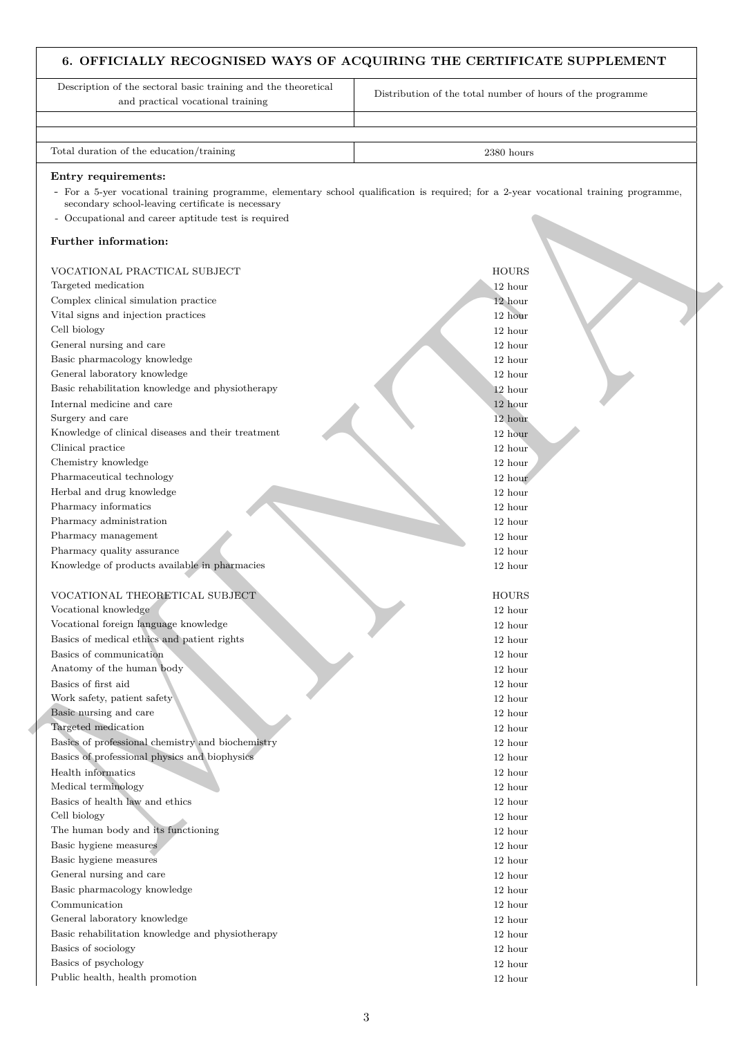# **6. OFFICIALLY RECOGNISED WAYS OF ACQUIRING THE CERTIFICATE SUPPLEMENT**

Description of the sectoral basic training and the theoretical and practical vocational training

Distribution of the total number of hours of the programme

Total duration of the education/training 2380 hours 2380 hours

#### **Entry requirements:**

#### **Further information:**

| Entry requirements:<br>- For a 5-yer vocational training programme, elementary school qualification is required; for a 2-year vocational training programme, |              |
|--------------------------------------------------------------------------------------------------------------------------------------------------------------|--------------|
| secondary school-leaving certificate is necessary                                                                                                            |              |
| - Occupational and career aptitude test is required                                                                                                          |              |
| Further information:                                                                                                                                         |              |
| VOCATIONAL PRACTICAL SUBJECT                                                                                                                                 | <b>HOURS</b> |
| Targeted medication                                                                                                                                          | 12 hour      |
| Complex clinical simulation practice                                                                                                                         | 12 hour      |
| Vital signs and injection practices                                                                                                                          | 12 hour      |
| Cell biology                                                                                                                                                 | 12 hour      |
| General nursing and care                                                                                                                                     | 12 hour      |
| Basic pharmacology knowledge                                                                                                                                 | 12 hour      |
| General laboratory knowledge                                                                                                                                 | 12 hour      |
| Basic rehabilitation knowledge and physiotherapy                                                                                                             | 12 hour      |
| Internal medicine and care                                                                                                                                   | 12 hour      |
| Surgery and care                                                                                                                                             | 12 hour      |
| Knowledge of clinical diseases and their treatment                                                                                                           | 12 hour      |
| Clinical practice                                                                                                                                            | 12 hour      |
| Chemistry knowledge                                                                                                                                          | 12 hour      |
| Pharmaceutical technology                                                                                                                                    | 12 hour      |
| Herbal and drug knowledge                                                                                                                                    | 12 hour      |
| Pharmacy informatics                                                                                                                                         | 12 hour      |
| Pharmacy administration                                                                                                                                      | 12 hour      |
| Pharmacy management                                                                                                                                          | 12 hour      |
| Pharmacy quality assurance                                                                                                                                   | 12 hour      |
| Knowledge of products available in pharmacies                                                                                                                | 12 hour      |
| VOCATIONAL THEORETICAL SUBJECT                                                                                                                               | <b>HOURS</b> |
| Vocational knowledge                                                                                                                                         | 12 hour      |
| Vocational foreign language knowledge                                                                                                                        | 12 hour      |
| Basics of medical ethics and patient rights                                                                                                                  | 12 hour      |
| Basics of communication                                                                                                                                      | 12 hour      |
| Anatomy of the human body                                                                                                                                    | 12 hour      |
| Basics of first aid                                                                                                                                          | 12 hour      |
| Work safety, patient safety                                                                                                                                  | 12 hour      |
| Basic nursing and care                                                                                                                                       | 12 hour      |
| Targeted medication                                                                                                                                          | 12 hour      |
| Basics of professional chemistry and biochemistry                                                                                                            | 12 hour      |
| Basics of professional physics and biophysics                                                                                                                | 12 hour      |
| Health informatics                                                                                                                                           | 12 hour      |
| Medical terminology                                                                                                                                          | 12 hour      |
| Basics of health law and ethics                                                                                                                              | 12 hour      |
| Cell biology                                                                                                                                                 | 12 hour      |
| The human body and its functioning                                                                                                                           | 12 hour      |
| Basic hygiene measures                                                                                                                                       | 12 hour      |
| Basic hygiene measures                                                                                                                                       | 12 hour      |
| General nursing and care                                                                                                                                     | 12 hour      |
| Basic pharmacology knowledge                                                                                                                                 | 12 hour      |
| Communication                                                                                                                                                | 12 hour      |
| General laboratory knowledge                                                                                                                                 | 12 hour      |
| Basic rehabilitation knowledge and physiotherapy                                                                                                             | 12 hour      |
| Basics of sociology                                                                                                                                          | 12 hour      |
| Basics of psychology                                                                                                                                         | 12 hour      |
| Public health, health promotion                                                                                                                              | 12 hour      |